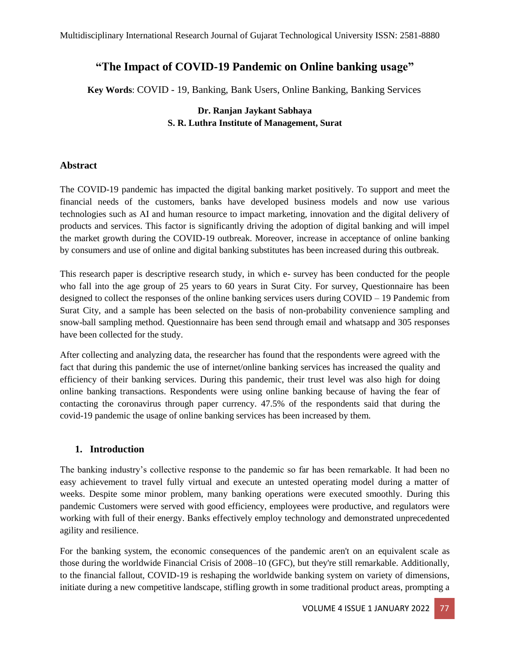# **"The Impact of COVID-19 Pandemic on Online banking usage"**

 **Key Words**: COVID - 19, Banking, Bank Users, Online Banking, Banking Services

# **Dr. Ranjan Jaykant Sabhaya S. R. Luthra Institute of Management, Surat**

#### **Abstract**

The COVID-19 pandemic has impacted the digital banking market positively. To support and meet the financial needs of the customers, banks have developed business models and now use various technologies such as AI and human resource to impact marketing, innovation and the digital delivery of products and services. This factor is significantly driving the adoption of digital banking and will impel the market growth during the COVID-19 outbreak. Moreover, increase in acceptance of online banking by consumers and use of online and digital banking substitutes has been increased during this outbreak.

This research paper is descriptive research study, in which e- survey has been conducted for the people who fall into the age group of 25 years to 60 years in Surat City. For survey, Questionnaire has been designed to collect the responses of the online banking services users during COVID – 19 Pandemic from Surat City, and a sample has been selected on the basis of non-probability convenience sampling and snow-ball sampling method. Questionnaire has been send through email and whatsapp and 305 responses have been collected for the study.

After collecting and analyzing data, the researcher has found that the respondents were agreed with the fact that during this pandemic the use of internet/online banking services has increased the quality and efficiency of their banking services. During this pandemic, their trust level was also high for doing online banking transactions. Respondents were using online banking because of having the fear of contacting the coronavirus through paper currency. 47.5% of the respondents said that during the covid-19 pandemic the usage of online banking services has been increased by them.

# **1. Introduction**

The banking industry's collective response to the pandemic so far has been remarkable. It had been no easy achievement to travel fully virtual and execute an untested operating model during a matter of weeks. Despite some minor problem, many banking operations were executed smoothly. During this pandemic Customers were served with good efficiency, employees were productive, and regulators were working with full of their energy. Banks effectively employ technology and demonstrated unprecedented agility and resilience.

For the banking system, the economic consequences of the pandemic aren't on an equivalent scale as those during the worldwide Financial Crisis of 2008–10 (GFC), but they're still remarkable. Additionally, to the financial fallout, COVID-19 is reshaping the worldwide banking system on variety of dimensions, initiate during a new competitive landscape, stifling growth in some traditional product areas, prompting a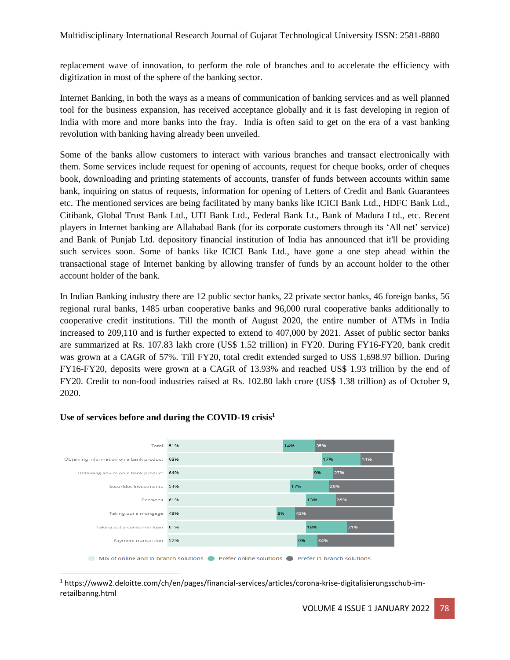replacement wave of innovation, to perform the role of branches and to accelerate the efficiency with digitization in most of the sphere of the banking sector.

Internet Banking, in both the ways as a means of communication of banking services and as well planned tool for the business expansion, has received acceptance globally and it is fast developing in region of India with more and more banks into the fray. India is often said to get on the era of a vast banking revolution with banking having already been unveiled.

Some of the banks allow customers to interact with various branches and transact electronically with them. Some services include request for opening of accounts, request for cheque books, order of cheques book, downloading and printing statements of accounts, transfer of funds between accounts within same bank, inquiring on status of requests, information for opening of Letters of Credit and Bank Guarantees etc. The mentioned services are being facilitated by many banks like ICICI Bank Ltd., HDFC Bank Ltd., Citibank, Global Trust Bank Ltd., UTI Bank Ltd., Federal Bank Lt., Bank of Madura Ltd., etc. Recent players in Internet banking are Allahabad Bank (for its corporate customers through its 'All net' service) and Bank of Punjab Ltd. depository financial institution of India has announced that it'll be providing such services soon. Some of banks like ICICI Bank Ltd., have gone a one step ahead within the transactional stage of Internet banking by allowing transfer of funds by an account holder to the other account holder of the bank.

In Indian Banking industry there are 12 public sector banks, 22 private sector banks, 46 foreign banks, 56 regional rural banks, 1485 urban cooperative banks and 96,000 rural cooperative banks additionally to cooperative credit institutions. Till the month of August 2020, the entire number of ATMs in India increased to 209,110 and is further expected to extend to 407,000 by 2021. Asset of public sector banks are summarized at Rs. 107.83 lakh crore (US\$ 1.52 trillion) in FY20. During FY16-FY20, bank credit was grown at a CAGR of 57%. Till FY20, total credit extended surged to US\$ 1,698.97 billion. During FY16-FY20, deposits were grown at a CAGR of 13.93% and reached US\$ 1.93 trillion by the end of FY20. Credit to non-food industries raised at Rs. 102.80 lakh crore (US\$ 1.38 trillion) as of October 9, 2020.



# **Use of services before and during the COVID-19 crisis<sup>1</sup>**

<sup>1</sup> https://www2.deloitte.com/ch/en/pages/financial-services/articles/corona-krise-digitalisierungsschub-imretailbanng.html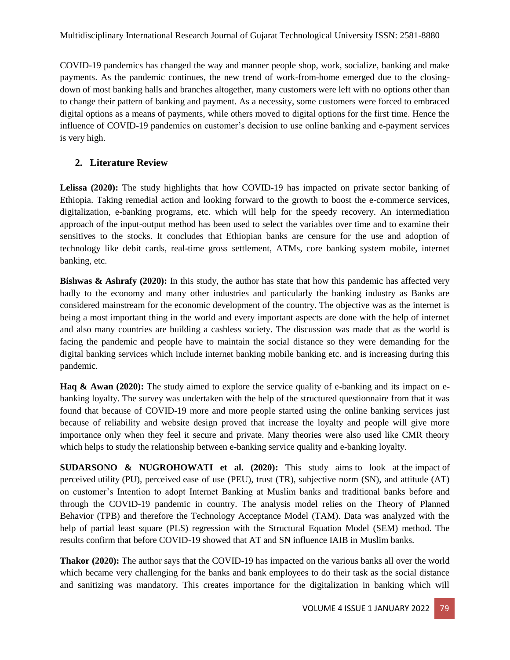COVID-19 pandemics has changed the way and manner people shop, work, socialize, banking and make payments. As the pandemic continues, the new trend of work-from-home emerged due to the closingdown of most banking halls and branches altogether, many customers were left with no options other than to change their pattern of banking and payment. As a necessity, some customers were forced to embraced digital options as a means of payments, while others moved to digital options for the first time. Hence the influence of COVID-19 pandemics on customer's decision to use online banking and e-payment services is very high.

# **2. Literature Review**

**Lelissa (2020):** The study highlights that how COVID-19 has impacted on private sector banking of Ethiopia. Taking remedial action and looking forward to the growth to boost the e-commerce services, digitalization, e-banking programs, etc. which will help for the speedy recovery. An intermediation approach of the input-output method has been used to select the variables over time and to examine their sensitives to the stocks. It concludes that Ethiopian banks are censure for the use and adoption of technology like debit cards, real-time gross settlement, ATMs, core banking system mobile, internet banking, etc.

**Bishwas & Ashrafy (2020):** In this study, the author has state that how this pandemic has affected very badly to the economy and many other industries and particularly the banking industry as Banks are considered mainstream for the economic development of the country. The objective was as the internet is being a most important thing in the world and every important aspects are done with the help of internet and also many countries are building a cashless society. The discussion was made that as the world is facing the pandemic and people have to maintain the social distance so they were demanding for the digital banking services which include internet banking mobile banking etc. and is increasing during this pandemic.

**Haq & Awan (2020):** The study aimed to explore the service quality of e-banking and its impact on ebanking loyalty. The survey was undertaken with the help of the structured questionnaire from that it was found that because of COVID-19 more and more people started using the online banking services just because of reliability and website design proved that increase the loyalty and people will give more importance only when they feel it secure and private. Many theories were also used like CMR theory which helps to study the relationship between e-banking service quality and e-banking loyalty.

**SUDARSONO & NUGROHOWATI et al. (2020):** This study aims to look at the impact of perceived utility (PU), perceived ease of use (PEU), trust (TR), subjective norm (SN), and attitude (AT) on customer's Intention to adopt Internet Banking at Muslim banks and traditional banks before and through the COVID-19 pandemic in country. The analysis model relies on the Theory of Planned Behavior (TPB) and therefore the Technology Acceptance Model (TAM). Data was analyzed with the help of partial least square (PLS) regression with the Structural Equation Model (SEM) method. The results confirm that before COVID-19 showed that AT and SN influence IAIB in Muslim banks.

**Thakor (2020):** The author says that the COVID-19 has impacted on the various banks all over the world which became very challenging for the banks and bank employees to do their task as the social distance and sanitizing was mandatory. This creates importance for the digitalization in banking which will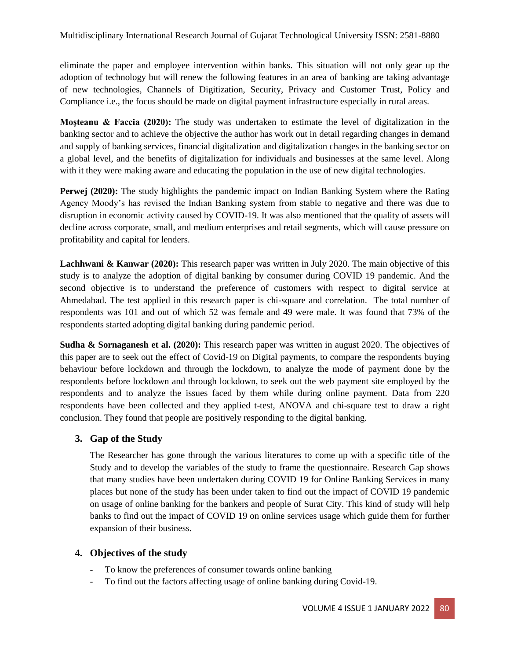eliminate the paper and employee intervention within banks. This situation will not only gear up the adoption of technology but will renew the following features in an area of banking are taking advantage of new technologies, Channels of Digitization, Security, Privacy and Customer Trust, Policy and Compliance i.e., the focus should be made on digital payment infrastructure especially in rural areas.

**Moşteanu & Faccia (2020):** The study was undertaken to estimate the level of digitalization in the banking sector and to achieve the objective the author has work out in detail regarding changes in demand and supply of banking services, financial digitalization and digitalization changes in the banking sector on a global level, and the benefits of digitalization for individuals and businesses at the same level. Along with it they were making aware and educating the population in the use of new digital technologies.

**Perwej (2020):** The study highlights the pandemic impact on Indian Banking System where the Rating Agency Moody's has revised the Indian Banking system from stable to negative and there was due to disruption in economic activity caused by COVID-19. It was also mentioned that the quality of assets will decline across corporate, small, and medium enterprises and retail segments, which will cause pressure on profitability and capital for lenders.

**Lachhwani & Kanwar (2020):** This research paper was written in July 2020. The main objective of this study is to analyze the adoption of digital banking by consumer during COVID 19 pandemic. And the second objective is to understand the preference of customers with respect to digital service at Ahmedabad. The test applied in this research paper is chi-square and correlation. The total number of respondents was 101 and out of which 52 was female and 49 were male. It was found that 73% of the respondents started adopting digital banking during pandemic period.

**Sudha & Sornaganesh et al. (2020):** This research paper was written in august 2020. The objectives of this paper are to seek out the effect of Covid-19 on Digital payments, to compare the respondents buying behaviour before lockdown and through the lockdown, to analyze the mode of payment done by the respondents before lockdown and through lockdown, to seek out the web payment site employed by the respondents and to analyze the issues faced by them while during online payment. Data from 220 respondents have been collected and they applied t-test, ANOVA and chi-square test to draw a right conclusion. They found that people are positively responding to the digital banking.

# **3. Gap of the Study**

The Researcher has gone through the various literatures to come up with a specific title of the Study and to develop the variables of the study to frame the questionnaire. Research Gap shows that many studies have been undertaken during COVID 19 for Online Banking Services in many places but none of the study has been under taken to find out the impact of COVID 19 pandemic on usage of online banking for the bankers and people of Surat City. This kind of study will help banks to find out the impact of COVID 19 on online services usage which guide them for further expansion of their business.

#### **4. Objectives of the study**

- To know the preferences of consumer towards online banking
- To find out the factors affecting usage of online banking during Covid-19.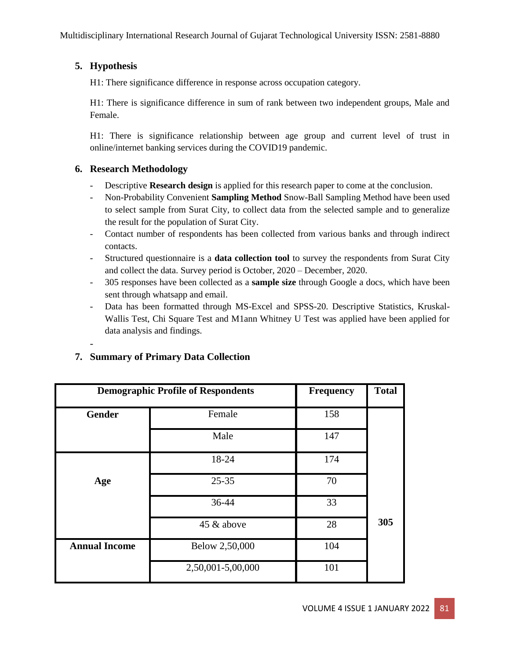# **5. Hypothesis**

-

H1: There significance difference in response across occupation category.

H1: There is significance difference in sum of rank between two independent groups, Male and Female.

H1: There is significance relationship between age group and current level of trust in online/internet banking services during the COVID19 pandemic.

# **6. Research Methodology**

- Descriptive **Research design** is applied for this research paper to come at the conclusion.
- Non-Probability Convenient **Sampling Method** Snow-Ball Sampling Method have been used to select sample from Surat City, to collect data from the selected sample and to generalize the result for the population of Surat City.
- Contact number of respondents has been collected from various banks and through indirect contacts.
- Structured questionnaire is a **data collection tool** to survey the respondents from Surat City and collect the data. Survey period is October, 2020 – December, 2020.
- 305 responses have been collected as a **sample size** through Google a docs, which have been sent through whatsapp and email.
- Data has been formatted through MS-Excel and SPSS-20. Descriptive Statistics, Kruskal-Wallis Test, Chi Square Test and M1ann Whitney U Test was applied have been applied for data analysis and findings.

| <b>Demographic Profile of Respondents</b> |                   | <b>Frequency</b> | <b>Total</b> |
|-------------------------------------------|-------------------|------------------|--------------|
| <b>Gender</b>                             | Female            | 158              |              |
|                                           | Male              | 147              |              |
|                                           | 18-24             | 174              |              |
| Age                                       | $25 - 35$         | 70               |              |
|                                           | 36-44             | 33               |              |
|                                           | 45 & above        | 28               | 305          |
| <b>Annual Income</b>                      | Below 2,50,000    | 104              |              |
|                                           | 2,50,001-5,00,000 | 101              |              |

# **7. Summary of Primary Data Collection**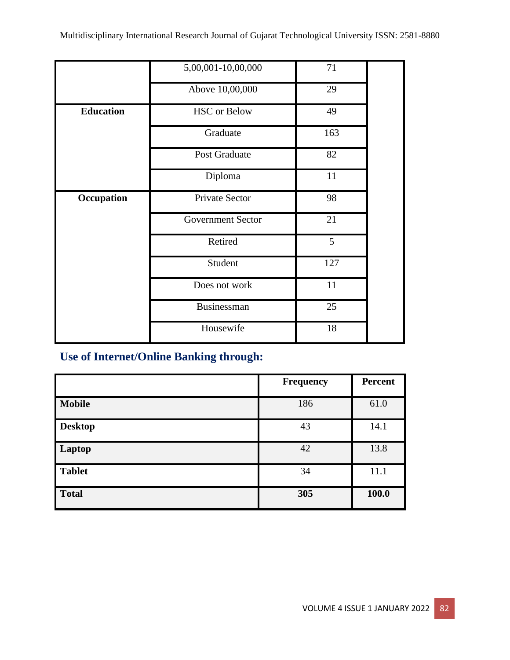|                  | 5,00,001-10,00,000       | 71  |
|------------------|--------------------------|-----|
|                  | Above 10,00,000          | 29  |
| <b>Education</b> | <b>HSC</b> or Below      | 49  |
|                  | Graduate                 | 163 |
|                  | Post Graduate            | 82  |
|                  | Diploma                  | 11  |
| Occupation       | Private Sector           | 98  |
|                  | <b>Government Sector</b> | 21  |
|                  | Retired                  | 5   |
|                  | Student                  | 127 |
|                  | Does not work            | 11  |
|                  | Businessman              | 25  |
|                  | Housewife                | 18  |

# **Use of Internet/Online Banking through:**

|                | <b>Frequency</b> | <b>Percent</b> |
|----------------|------------------|----------------|
| <b>Mobile</b>  | 186              | 61.0           |
| <b>Desktop</b> | 43               | 14.1           |
| Laptop         | 42               | 13.8           |
| <b>Tablet</b>  | 34               | 11.1           |
| <b>Total</b>   | 305              | 100.0          |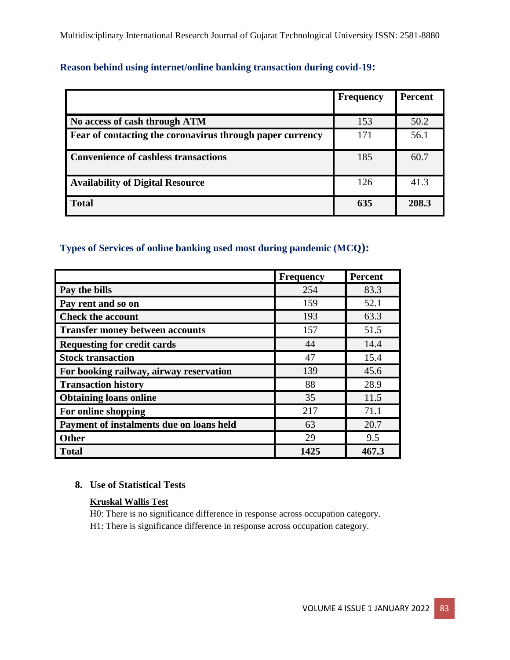|  |  |  | <b>Reason behind using internet/online banking transaction during covid-19:</b> |
|--|--|--|---------------------------------------------------------------------------------|
|--|--|--|---------------------------------------------------------------------------------|

|                                                           | <b>Frequency</b> | <b>Percent</b> |
|-----------------------------------------------------------|------------------|----------------|
|                                                           |                  |                |
| No access of cash through ATM                             | 153              | 50.2           |
| Fear of contacting the coronavirus through paper currency | 171              | 56.1           |
| Convenience of cashless transactions                      | 185              | 60.7           |
| <b>Availability of Digital Resource</b>                   | 126              | 41.3           |
| <b>Total</b>                                              | 635              | 208.3          |

# **Types of Services of online banking used most during pandemic (MCQ):**

|                                          | <b>Frequency</b> | <b>Percent</b> |
|------------------------------------------|------------------|----------------|
| Pay the bills                            | 254              | 83.3           |
| Pay rent and so on                       | 159              | 52.1           |
| <b>Check the account</b>                 | 193              | 63.3           |
| <b>Transfer money between accounts</b>   | 157              | 51.5           |
| <b>Requesting for credit cards</b>       | 44               | 14.4           |
| <b>Stock transaction</b>                 | 47               | 15.4           |
| For booking railway, airway reservation  | 139              | 45.6           |
| <b>Transaction history</b>               | 88               | 28.9           |
| <b>Obtaining loans online</b>            | 35               | 11.5           |
| For online shopping                      | 217              | 71.1           |
| Payment of instalments due on loans held | 63               | 20.7           |
| <b>Other</b>                             | 29               | 9.5            |
| <b>Total</b>                             | 1425             | 467.3          |

#### **8. Use of Statistical Tests**

## **Kruskal Wallis Test**

H0: There is no significance difference in response across occupation category.

H1: There is significance difference in response across occupation category.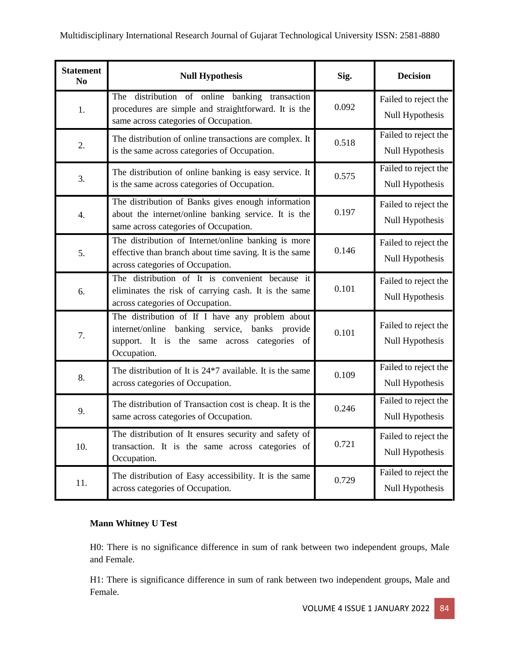| <b>Statement</b><br>N <sub>0</sub> | <b>Null Hypothesis</b>                                                                                                                                                    | Sig.  | <b>Decision</b>                         |
|------------------------------------|---------------------------------------------------------------------------------------------------------------------------------------------------------------------------|-------|-----------------------------------------|
| 1.                                 | The distribution of online banking transaction<br>procedures are simple and straightforward. It is the<br>same across categories of Occupation.                           | 0.092 | Failed to reject the<br>Null Hypothesis |
| 2.                                 | The distribution of online transactions are complex. It<br>is the same across categories of Occupation.                                                                   | 0.518 | Failed to reject the<br>Null Hypothesis |
| 3.                                 | The distribution of online banking is easy service. It<br>is the same across categories of Occupation.                                                                    | 0.575 | Failed to reject the<br>Null Hypothesis |
| 4.                                 | The distribution of Banks gives enough information<br>about the internet/online banking service. It is the<br>same across categories of Occupation.                       | 0.197 | Failed to reject the<br>Null Hypothesis |
| 5.                                 | The distribution of Internet/online banking is more<br>effective than branch about time saving. It is the same<br>across categories of Occupation.                        | 0.146 | Failed to reject the<br>Null Hypothesis |
| 6.                                 | The distribution of It is convenient because it<br>eliminates the risk of carrying cash. It is the same<br>across categories of Occupation.                               | 0.101 | Failed to reject the<br>Null Hypothesis |
| 7.                                 | The distribution of If I have any problem about<br>internet/online<br>banking service,<br>banks<br>provide<br>support. It is the same across categories of<br>Occupation. | 0.101 | Failed to reject the<br>Null Hypothesis |
| 8.                                 | The distribution of It is 24 <sup>*</sup> 7 available. It is the same<br>across categories of Occupation.                                                                 | 0.109 | Failed to reject the<br>Null Hypothesis |
| 9.                                 | The distribution of Transaction cost is cheap. It is the<br>same across categories of Occupation.                                                                         | 0.246 | Failed to reject the<br>Null Hypothesis |
| 10.                                | The distribution of It ensures security and safety of<br>transaction. It is the same across categories of<br>Occupation.                                                  | 0.721 | Failed to reject the<br>Null Hypothesis |
| 11.                                | The distribution of Easy accessibility. It is the same<br>across categories of Occupation.                                                                                | 0.729 | Failed to reject the<br>Null Hypothesis |

# **Mann Whitney U Test**

H0: There is no significance difference in sum of rank between two independent groups, Male and Female.

H1: There is significance difference in sum of rank between two independent groups, Male and Female.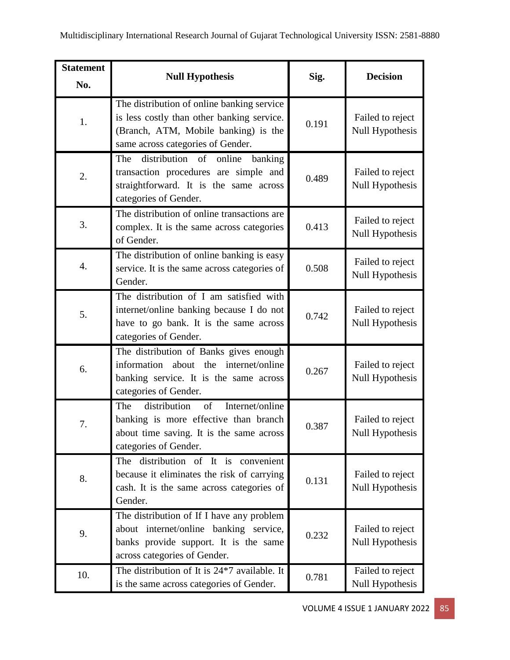| <b>Statement</b><br>No. | <b>Null Hypothesis</b>                                                                                                                                                | Sig.  | <b>Decision</b>                     |
|-------------------------|-----------------------------------------------------------------------------------------------------------------------------------------------------------------------|-------|-------------------------------------|
| 1.                      | The distribution of online banking service<br>is less costly than other banking service.<br>(Branch, ATM, Mobile banking) is the<br>same across categories of Gender. | 0.191 | Failed to reject<br>Null Hypothesis |
| 2.                      | distribution of online banking<br>The<br>transaction procedures are simple and<br>straightforward. It is the same across<br>categories of Gender.                     | 0.489 | Failed to reject<br>Null Hypothesis |
| 3.                      | The distribution of online transactions are<br>complex. It is the same across categories<br>of Gender.                                                                | 0.413 | Failed to reject<br>Null Hypothesis |
| 4.                      | The distribution of online banking is easy<br>service. It is the same across categories of<br>Gender.                                                                 | 0.508 | Failed to reject<br>Null Hypothesis |
| 5.                      | The distribution of I am satisfied with<br>internet/online banking because I do not<br>have to go bank. It is the same across<br>categories of Gender.                | 0.742 | Failed to reject<br>Null Hypothesis |
| 6.                      | The distribution of Banks gives enough<br>information about the internet/online<br>banking service. It is the same across<br>categories of Gender.                    | 0.267 | Failed to reject<br>Null Hypothesis |
| 7.                      | distribution<br>Internet/online<br>The<br>of<br>banking is more effective than branch<br>about time saving. It is the same across<br>categories of Gender.            | 0.387 | Failed to reject<br>Null Hypothesis |
| 8.                      | The distribution of It is convenient<br>because it eliminates the risk of carrying<br>cash. It is the same across categories of<br>Gender.                            | 0.131 | Failed to reject<br>Null Hypothesis |
| 9.                      | The distribution of If I have any problem<br>about internet/online banking service,<br>banks provide support. It is the same<br>across categories of Gender.          | 0.232 | Failed to reject<br>Null Hypothesis |
| 10.                     | The distribution of It is $24*7$ available. It<br>is the same across categories of Gender.                                                                            | 0.781 | Failed to reject<br>Null Hypothesis |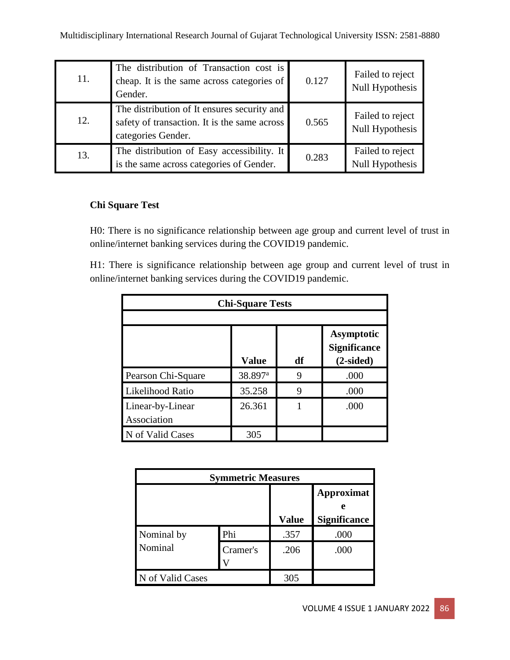| 11. | The distribution of Transaction cost is<br>cheap. It is the same across categories of<br>Gender.                  | 0.127 | Failed to reject<br>Null Hypothesis |
|-----|-------------------------------------------------------------------------------------------------------------------|-------|-------------------------------------|
| 12. | The distribution of It ensures security and<br>safety of transaction. It is the same across<br>categories Gender. | 0.565 | Failed to reject<br>Null Hypothesis |
| 13. | The distribution of Easy accessibility. It<br>is the same across categories of Gender.                            | 0.283 | Failed to reject<br>Null Hypothesis |

# **Chi Square Test**

H0: There is no significance relationship between age group and current level of trust in online/internet banking services during the COVID19 pandemic.

H1: There is significance relationship between age group and current level of trust in online/internet banking services during the COVID19 pandemic.

| <b>Chi-Square Tests</b>         |                     |    |                                                         |
|---------------------------------|---------------------|----|---------------------------------------------------------|
|                                 |                     |    |                                                         |
|                                 | <b>Value</b>        | df | <b>Asymptotic</b><br><b>Significance</b><br>$(2-sided)$ |
| Pearson Chi-Square              | 38.897 <sup>a</sup> | 9  | .000                                                    |
| Likelihood Ratio                | 35.258              | 9  | .000                                                    |
| Linear-by-Linear<br>Association | 26.361              |    | .000                                                    |
| N of Valid Cases                | 305                 |    |                                                         |

| <b>Symmetric Measures</b> |          |              |                                               |
|---------------------------|----------|--------------|-----------------------------------------------|
|                           |          | <b>Value</b> | <b>Approximat</b><br>e<br><b>Significance</b> |
| Nominal by                | Phi      | .357         | .000                                          |
| Nominal                   | Cramer's | .206         | .000                                          |
| N of Valid Cases          |          | 305          |                                               |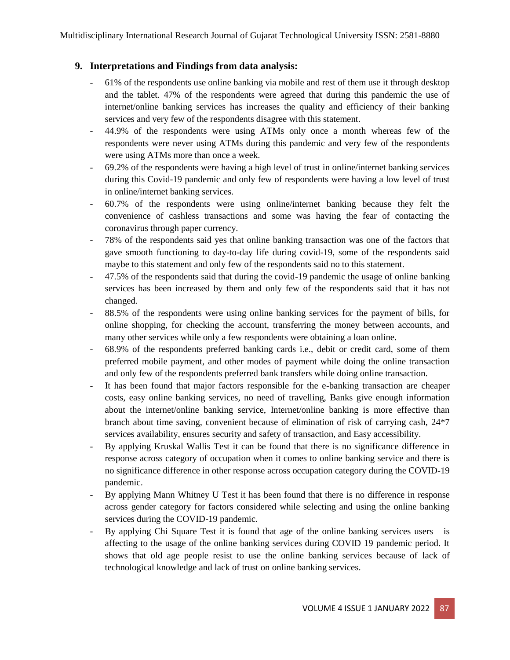## **9. Interpretations and Findings from data analysis:**

- 61% of the respondents use online banking via mobile and rest of them use it through desktop and the tablet. 47% of the respondents were agreed that during this pandemic the use of internet/online banking services has increases the quality and efficiency of their banking services and very few of the respondents disagree with this statement.
- 44.9% of the respondents were using ATMs only once a month whereas few of the respondents were never using ATMs during this pandemic and very few of the respondents were using ATMs more than once a week.
- 69.2% of the respondents were having a high level of trust in online/internet banking services during this Covid-19 pandemic and only few of respondents were having a low level of trust in online/internet banking services.
- 60.7% of the respondents were using online/internet banking because they felt the convenience of cashless transactions and some was having the fear of contacting the coronavirus through paper currency.
- 78% of the respondents said yes that online banking transaction was one of the factors that gave smooth functioning to day-to-day life during covid-19, some of the respondents said maybe to this statement and only few of the respondents said no to this statement.
- 47.5% of the respondents said that during the covid-19 pandemic the usage of online banking services has been increased by them and only few of the respondents said that it has not changed.
- 88.5% of the respondents were using online banking services for the payment of bills, for online shopping, for checking the account, transferring the money between accounts, and many other services while only a few respondents were obtaining a loan online.
- 68.9% of the respondents preferred banking cards i.e., debit or credit card, some of them preferred mobile payment, and other modes of payment while doing the online transaction and only few of the respondents preferred bank transfers while doing online transaction.
- It has been found that major factors responsible for the e-banking transaction are cheaper costs, easy online banking services, no need of travelling, Banks give enough information about the internet/online banking service, Internet/online banking is more effective than branch about time saving, convenient because of elimination of risk of carrying cash, 24\*7 services availability, ensures security and safety of transaction, and Easy accessibility.
- By applying Kruskal Wallis Test it can be found that there is no significance difference in response across category of occupation when it comes to online banking service and there is no significance difference in other response across occupation category during the COVID-19 pandemic.
- By applying Mann Whitney U Test it has been found that there is no difference in response across gender category for factors considered while selecting and using the online banking services during the COVID-19 pandemic.
- By applying Chi Square Test it is found that age of the online banking services users is affecting to the usage of the online banking services during COVID 19 pandemic period. It shows that old age people resist to use the online banking services because of lack of technological knowledge and lack of trust on online banking services.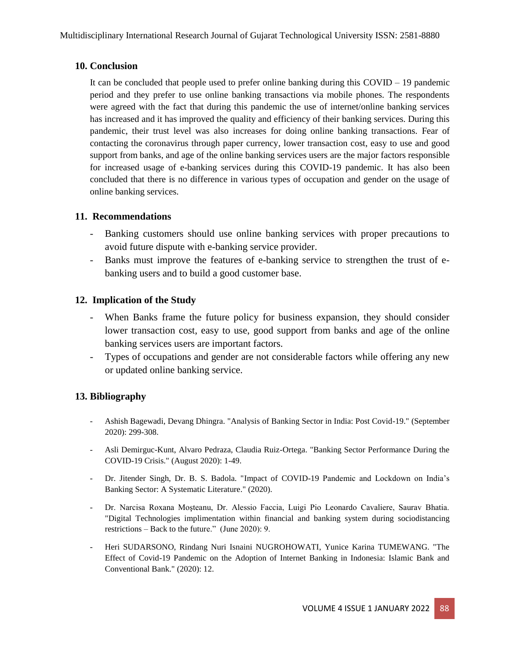## **10. Conclusion**

It can be concluded that people used to prefer online banking during this  $\text{COVID} - 19$  pandemic period and they prefer to use online banking transactions via mobile phones. The respondents were agreed with the fact that during this pandemic the use of internet/online banking services has increased and it has improved the quality and efficiency of their banking services. During this pandemic, their trust level was also increases for doing online banking transactions. Fear of contacting the coronavirus through paper currency, lower transaction cost, easy to use and good support from banks, and age of the online banking services users are the major factors responsible for increased usage of e-banking services during this COVID-19 pandemic. It has also been concluded that there is no difference in various types of occupation and gender on the usage of online banking services.

## **11. Recommendations**

- Banking customers should use online banking services with proper precautions to avoid future dispute with e-banking service provider.
- Banks must improve the features of e-banking service to strengthen the trust of ebanking users and to build a good customer base.

# **12. Implication of the Study**

- When Banks frame the future policy for business expansion, they should consider lower transaction cost, easy to use, good support from banks and age of the online banking services users are important factors.
- Types of occupations and gender are not considerable factors while offering any new or updated online banking service.

# **13. Bibliography**

- Ashish Bagewadi, Devang Dhingra. "Analysis of Banking Sector in India: Post Covid-19." (September 2020): 299-308.
- Asli Demirguc-Kunt, Alvaro Pedraza, Claudia Ruiz-Ortega. "Banking Sector Performance During the COVID-19 Crisis." (August 2020): 1-49.
- Dr. Jitender Singh, Dr. B. S. Badola. "Impact of COVID-19 Pandemic and Lockdown on India's Banking Sector: A Systematic Literature." (2020).
- Dr. Narcisa Roxana Moşteanu, Dr. Alessio Faccia, Luigi Pio Leonardo Cavaliere, Saurav Bhatia. "Digital Technologies implimentation within financial and banking system during sociodistancing restrictions – Back to the future." (June 2020): 9.
- Heri SUDARSONO, Rindang Nuri Isnaini NUGROHOWATI, Yunice Karina TUMEWANG. "The Effect of Covid-19 Pandemic on the Adoption of Internet Banking in Indonesia: Islamic Bank and Conventional Bank." (2020): 12.